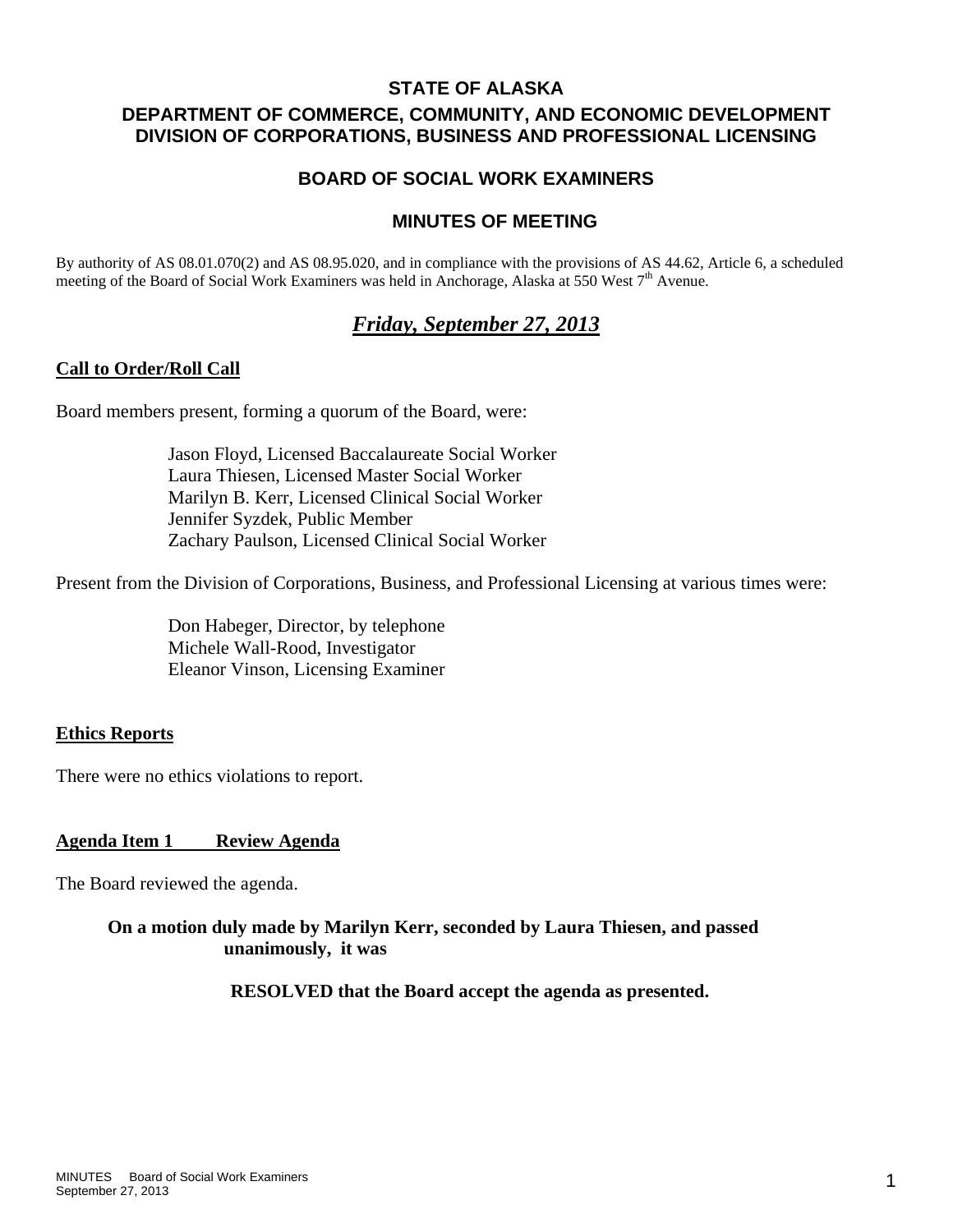## **STATE OF ALASKA**

## **DEPARTMENT OF COMMERCE, COMMUNITY, AND ECONOMIC DEVELOPMENT DIVISION OF CORPORATIONS, BUSINESS AND PROFESSIONAL LICENSING**

## **BOARD OF SOCIAL WORK EXAMINERS**

## **MINUTES OF MEETING**

By authority of AS 08.01.070(2) and AS 08.95.020, and in compliance with the provisions of AS 44.62, Article 6, a scheduled meeting of the Board of Social Work Examiners was held in Anchorage, Alaska at 550 West  $7<sup>th</sup>$  Avenue.

# *Friday, September 27, 2013*

## **Call to Order/Roll Call**

Board members present, forming a quorum of the Board, were:

 Jason Floyd, Licensed Baccalaureate Social Worker Laura Thiesen, Licensed Master Social Worker Marilyn B. Kerr, Licensed Clinical Social Worker Jennifer Syzdek, Public Member Zachary Paulson, Licensed Clinical Social Worker

Present from the Division of Corporations, Business, and Professional Licensing at various times were:

 Don Habeger, Director, by telephone Michele Wall-Rood, Investigator Eleanor Vinson, Licensing Examiner

## **Ethics Reports**

There were no ethics violations to report.

## **Agenda Item 1 Review Agenda**

The Board reviewed the agenda.

## **On a motion duly made by Marilyn Kerr, seconded by Laura Thiesen, and passed unanimously, it was**

 **RESOLVED that the Board accept the agenda as presented.**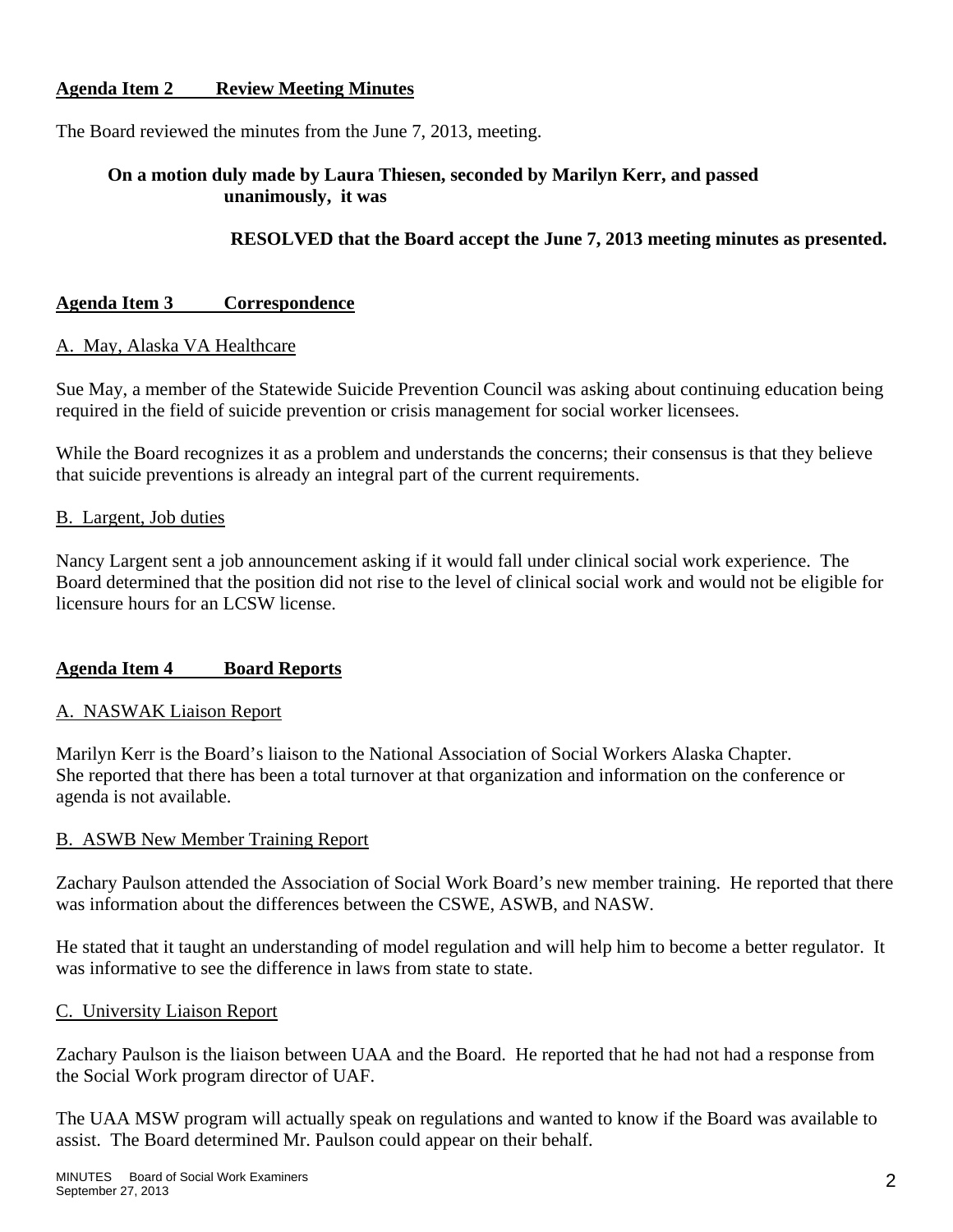## **Agenda Item 2 Review Meeting Minutes**

The Board reviewed the minutes from the June 7, 2013, meeting.

## **On a motion duly made by Laura Thiesen, seconded by Marilyn Kerr, and passed unanimously, it was**

## **RESOLVED that the Board accept the June 7, 2013 meeting minutes as presented.**

### **Agenda Item 3 Correspondence**

#### A. May, Alaska VA Healthcare

Sue May, a member of the Statewide Suicide Prevention Council was asking about continuing education being required in the field of suicide prevention or crisis management for social worker licensees.

While the Board recognizes it as a problem and understands the concerns; their consensus is that they believe that suicide preventions is already an integral part of the current requirements.

#### B. Largent, Job duties

Nancy Largent sent a job announcement asking if it would fall under clinical social work experience. The Board determined that the position did not rise to the level of clinical social work and would not be eligible for licensure hours for an LCSW license.

#### **Agenda Item 4 Board Reports**

#### A. NASWAK Liaison Report

Marilyn Kerr is the Board's liaison to the National Association of Social Workers Alaska Chapter. She reported that there has been a total turnover at that organization and information on the conference or agenda is not available.

#### B. ASWB New Member Training Report

Zachary Paulson attended the Association of Social Work Board's new member training. He reported that there was information about the differences between the CSWE, ASWB, and NASW.

He stated that it taught an understanding of model regulation and will help him to become a better regulator. It was informative to see the difference in laws from state to state.

#### C. University Liaison Report

Zachary Paulson is the liaison between UAA and the Board. He reported that he had not had a response from the Social Work program director of UAF.

The UAA MSW program will actually speak on regulations and wanted to know if the Board was available to assist. The Board determined Mr. Paulson could appear on their behalf.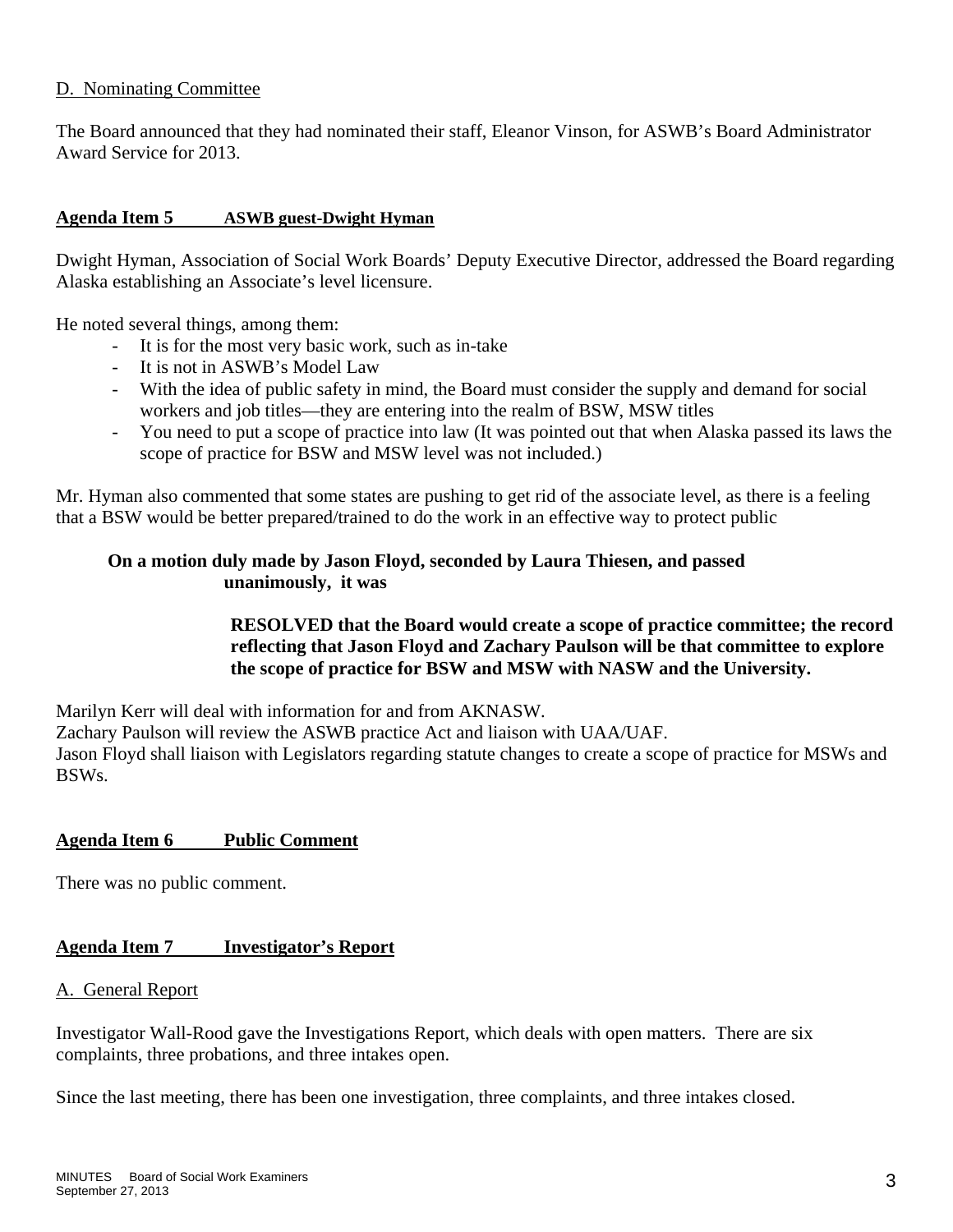## D. Nominating Committee

The Board announced that they had nominated their staff, Eleanor Vinson, for ASWB's Board Administrator Award Service for 2013.

## **Agenda Item 5 ASWB guest-Dwight Hyman**

Dwight Hyman, Association of Social Work Boards' Deputy Executive Director, addressed the Board regarding Alaska establishing an Associate's level licensure.

He noted several things, among them:

- It is for the most very basic work, such as in-take
- It is not in ASWB's Model Law
- With the idea of public safety in mind, the Board must consider the supply and demand for social workers and job titles—they are entering into the realm of BSW, MSW titles
- You need to put a scope of practice into law (It was pointed out that when Alaska passed its laws the scope of practice for BSW and MSW level was not included.)

Mr. Hyman also commented that some states are pushing to get rid of the associate level, as there is a feeling that a BSW would be better prepared/trained to do the work in an effective way to protect public

## **On a motion duly made by Jason Floyd, seconded by Laura Thiesen, and passed unanimously, it was**

## **RESOLVED that the Board would create a scope of practice committee; the record reflecting that Jason Floyd and Zachary Paulson will be that committee to explore the scope of practice for BSW and MSW with NASW and the University.**

Marilyn Kerr will deal with information for and from AKNASW.

Zachary Paulson will review the ASWB practice Act and liaison with UAA/UAF.

Jason Floyd shall liaison with Legislators regarding statute changes to create a scope of practice for MSWs and BSWs.

## **Agenda Item 6 Public Comment**

There was no public comment.

## **Agenda Item 7 Investigator's Report**

#### A. General Report

Investigator Wall-Rood gave the Investigations Report, which deals with open matters. There are six complaints, three probations, and three intakes open.

Since the last meeting, there has been one investigation, three complaints, and three intakes closed.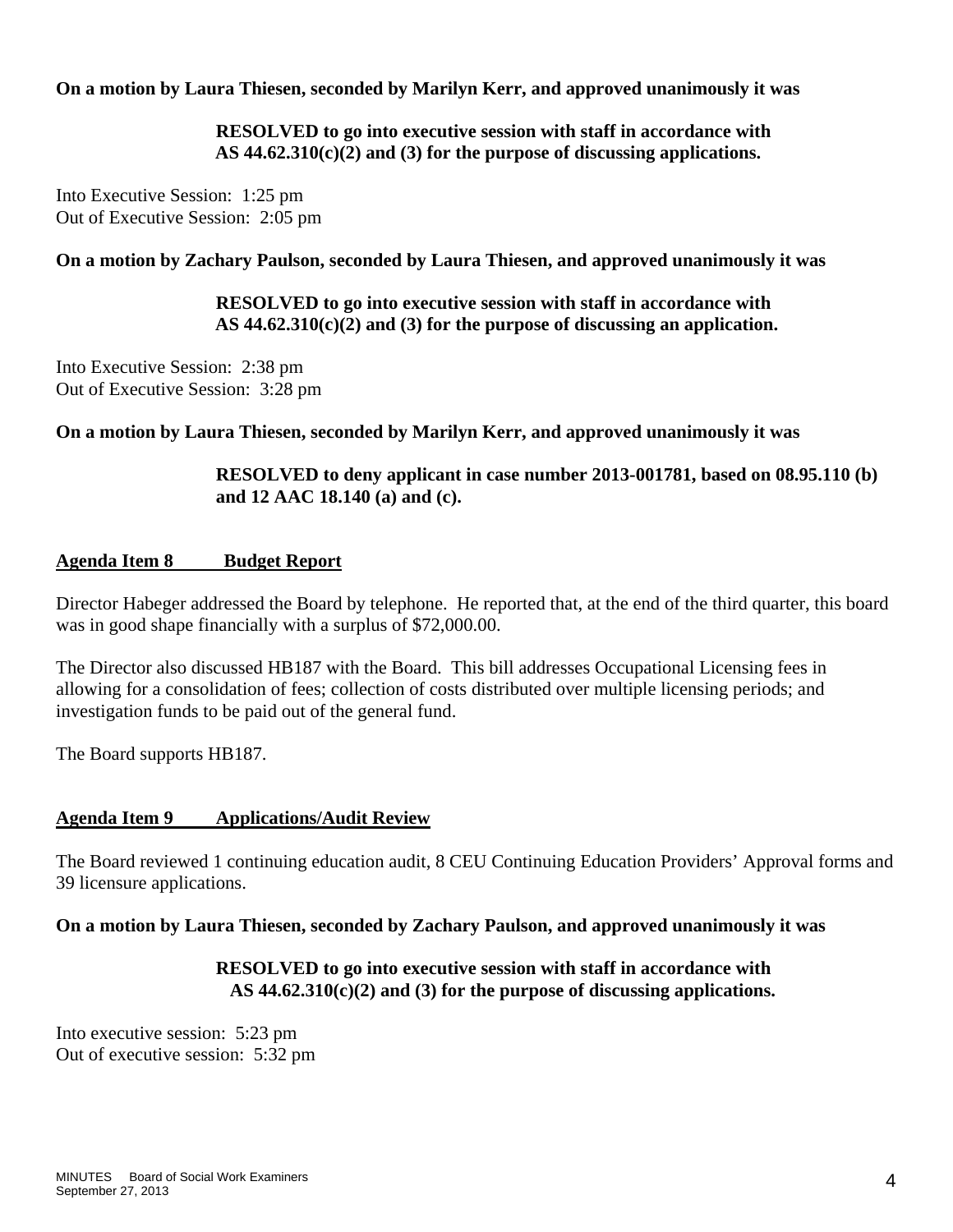**On a motion by Laura Thiesen, seconded by Marilyn Kerr, and approved unanimously it was** 

 **RESOLVED to go into executive session with staff in accordance with AS 44.62.310(c)(2) and (3) for the purpose of discussing applications.** 

Into Executive Session: 1:25 pm Out of Executive Session: 2:05 pm

**On a motion by Zachary Paulson, seconded by Laura Thiesen, and approved unanimously it was** 

 **RESOLVED to go into executive session with staff in accordance with AS 44.62.310(c)(2) and (3) for the purpose of discussing an application.** 

Into Executive Session: 2:38 pm Out of Executive Session: 3:28 pm

**On a motion by Laura Thiesen, seconded by Marilyn Kerr, and approved unanimously it was** 

 **RESOLVED to deny applicant in case number 2013-001781, based on 08.95.110 (b) and 12 AAC 18.140 (a) and (c).** 

## **Agenda Item 8 Budget Report**

Director Habeger addressed the Board by telephone. He reported that, at the end of the third quarter, this board was in good shape financially with a surplus of \$72,000.00.

The Director also discussed HB187 with the Board. This bill addresses Occupational Licensing fees in allowing for a consolidation of fees; collection of costs distributed over multiple licensing periods; and investigation funds to be paid out of the general fund.

The Board supports HB187.

## **Agenda Item 9 Applications/Audit Review**

The Board reviewed 1 continuing education audit, 8 CEU Continuing Education Providers' Approval forms and 39 licensure applications.

## **On a motion by Laura Thiesen, seconded by Zachary Paulson, and approved unanimously it was**

## **RESOLVED to go into executive session with staff in accordance with AS 44.62.310(c)(2) and (3) for the purpose of discussing applications.**

Into executive session: 5:23 pm Out of executive session: 5:32 pm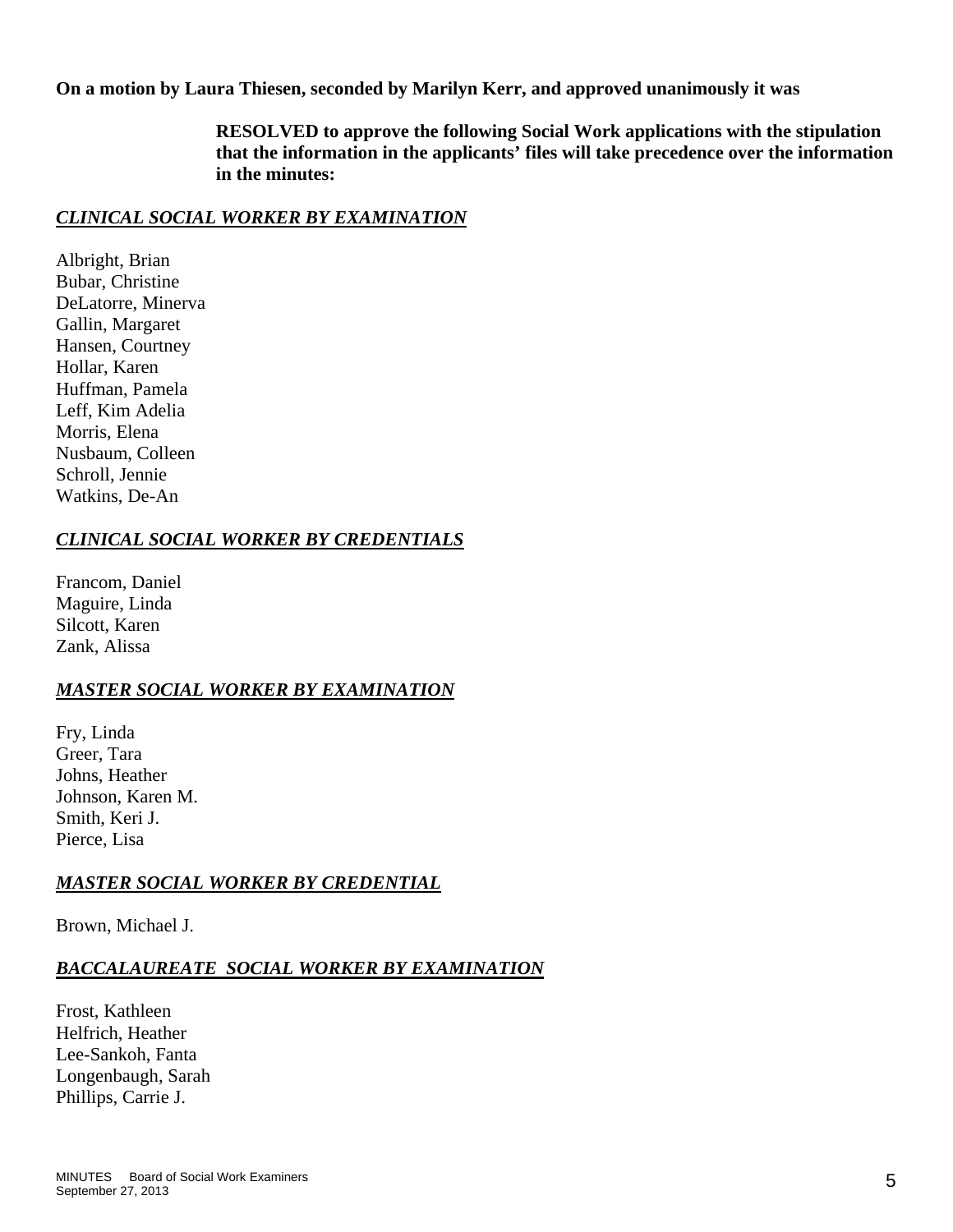**On a motion by Laura Thiesen, seconded by Marilyn Kerr, and approved unanimously it was** 

 **RESOLVED to approve the following Social Work applications with the stipulation that the information in the applicants' files will take precedence over the information in the minutes:** 

## *CLINICAL SOCIAL WORKER BY EXAMINATION*

Albright, Brian Bubar, Christine DeLatorre, Minerva Gallin, Margaret Hansen, Courtney Hollar, Karen Huffman, Pamela Leff, Kim Adelia Morris, Elena Nusbaum, Colleen Schroll, Jennie Watkins, De-An

## *CLINICAL SOCIAL WORKER BY CREDENTIALS*

Francom, Daniel Maguire, Linda Silcott, Karen Zank, Alissa

## *MASTER SOCIAL WORKER BY EXAMINATION*

Fry, Linda Greer, Tara Johns, Heather Johnson, Karen M. Smith, Keri J. Pierce, Lisa

## *MASTER SOCIAL WORKER BY CREDENTIAL*

Brown, Michael J.

## *BACCALAUREATE SOCIAL WORKER BY EXAMINATION*

Frost, Kathleen Helfrich, Heather Lee-Sankoh, Fanta Longenbaugh, Sarah Phillips, Carrie J.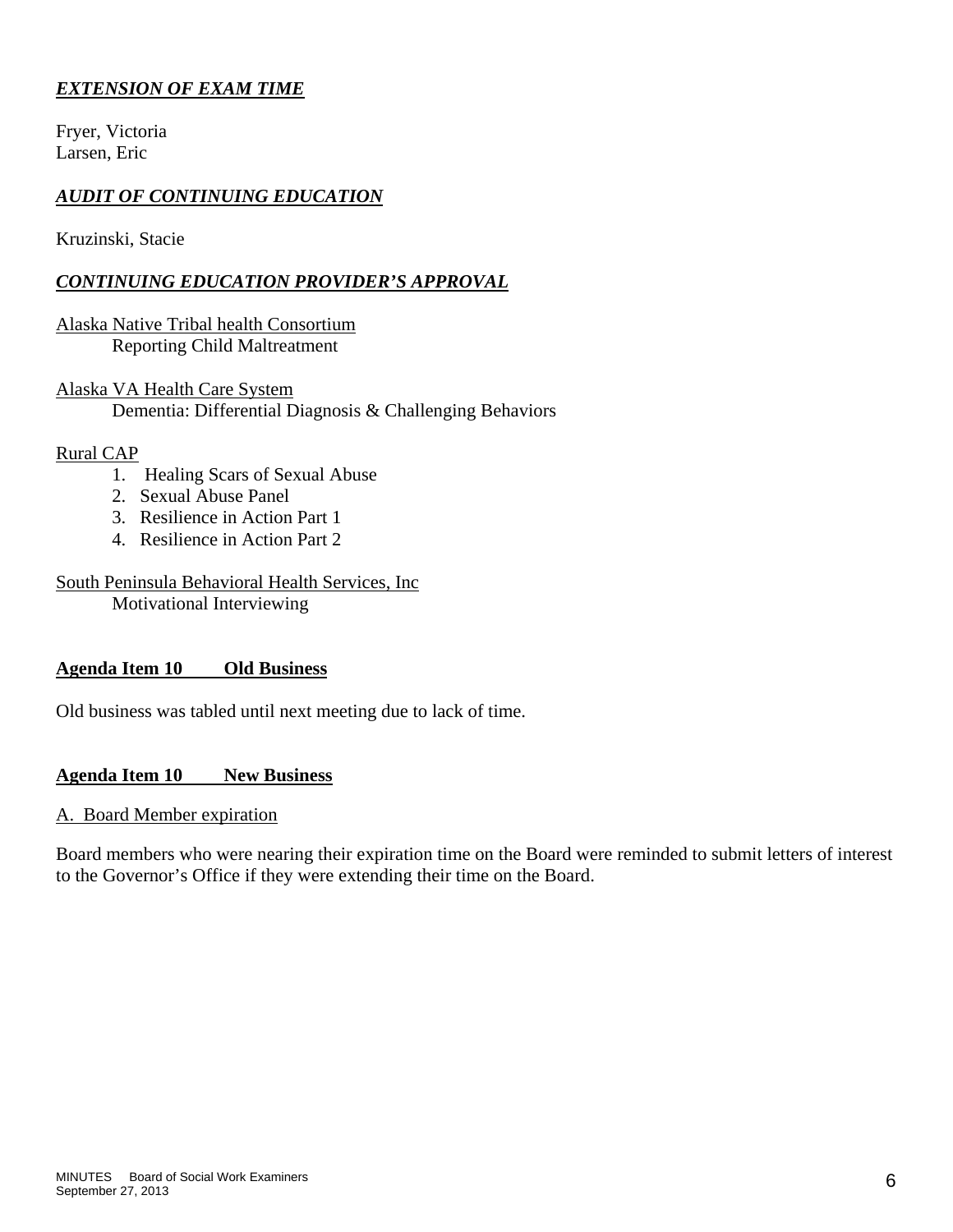## *EXTENSION OF EXAM TIME*

Fryer, Victoria Larsen, Eric

## *AUDIT OF CONTINUING EDUCATION*

Kruzinski, Stacie

## *CONTINUING EDUCATION PROVIDER'S APPROVAL*

Alaska Native Tribal health Consortium Reporting Child Maltreatment

Alaska VA Health Care System Dementia: Differential Diagnosis & Challenging Behaviors

#### Rural CAP

- 1. Healing Scars of Sexual Abuse
- 2. Sexual Abuse Panel
- 3. Resilience in Action Part 1
- 4. Resilience in Action Part 2

## South Peninsula Behavioral Health Services, Inc

Motivational Interviewing

## **Agenda Item 10 Old Business**

Old business was tabled until next meeting due to lack of time.

#### **Agenda Item 10 New Business**

#### A. Board Member expiration

Board members who were nearing their expiration time on the Board were reminded to submit letters of interest to the Governor's Office if they were extending their time on the Board.